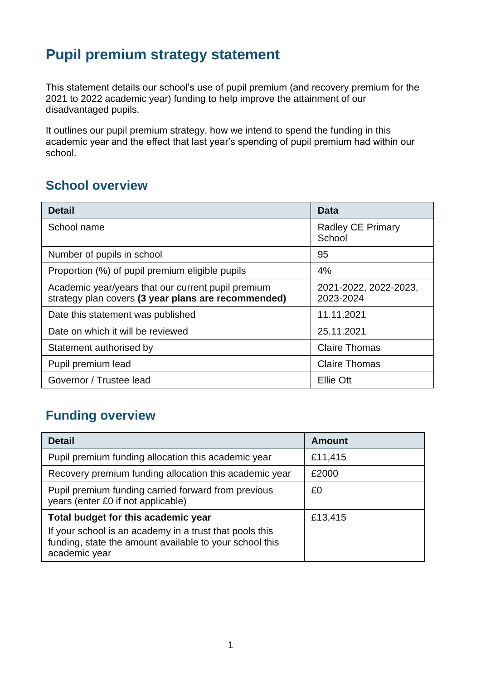# **Pupil premium strategy statement**

This statement details our school's use of pupil premium (and recovery premium for the 2021 to 2022 academic year) funding to help improve the attainment of our disadvantaged pupils.

It outlines our pupil premium strategy, how we intend to spend the funding in this academic year and the effect that last year's spending of pupil premium had within our school.

## **School overview**

| <b>Detail</b>                                                                                             | Data                               |
|-----------------------------------------------------------------------------------------------------------|------------------------------------|
| School name                                                                                               | <b>Radley CE Primary</b><br>School |
| Number of pupils in school                                                                                | 95                                 |
| Proportion (%) of pupil premium eligible pupils                                                           | 4%                                 |
| Academic year/years that our current pupil premium<br>strategy plan covers (3 year plans are recommended) | 2021-2022, 2022-2023,<br>2023-2024 |
| Date this statement was published                                                                         | 11.11.2021                         |
| Date on which it will be reviewed                                                                         | 25.11.2021                         |
| Statement authorised by                                                                                   | <b>Claire Thomas</b>               |
| Pupil premium lead                                                                                        | <b>Claire Thomas</b>               |
| Governor / Trustee lead                                                                                   | Ellie Ott                          |

# **Funding overview**

| <b>Detail</b>                                                                                                                       | <b>Amount</b> |
|-------------------------------------------------------------------------------------------------------------------------------------|---------------|
| Pupil premium funding allocation this academic year                                                                                 | £11,415       |
| Recovery premium funding allocation this academic year                                                                              | £2000         |
| Pupil premium funding carried forward from previous<br>years (enter £0 if not applicable)                                           | £0            |
| Total budget for this academic year                                                                                                 | £13,415       |
| If your school is an academy in a trust that pools this<br>funding, state the amount available to your school this<br>academic year |               |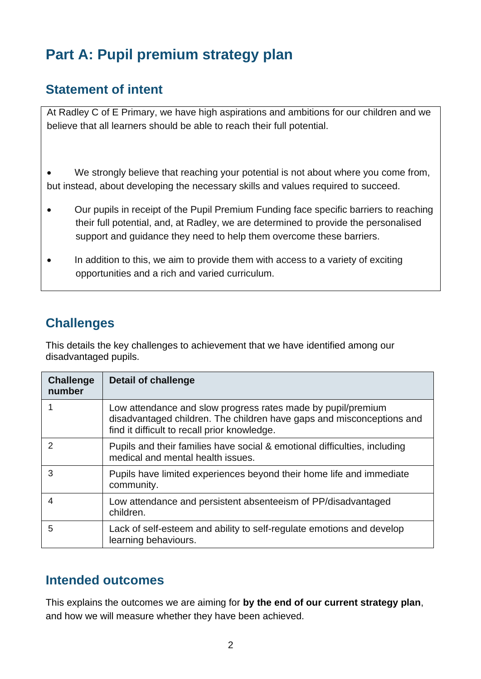# **Part A: Pupil premium strategy plan**

## **Statement of intent**

At Radley C of E Primary, we have high aspirations and ambitions for our children and we believe that all learners should be able to reach their full potential.

We strongly believe that reaching your potential is not about where you come from, but instead, about developing the necessary skills and values required to succeed.

- Our pupils in receipt of the Pupil Premium Funding face specific barriers to reaching their full potential, and, at Radley, we are determined to provide the personalised support and guidance they need to help them overcome these barriers.
- In addition to this, we aim to provide them with access to a variety of exciting opportunities and a rich and varied curriculum.

# **Challenges**

This details the key challenges to achievement that we have identified among our disadvantaged pupils.

| <b>Challenge</b><br>number | Detail of challenge                                                                                                                                                                   |
|----------------------------|---------------------------------------------------------------------------------------------------------------------------------------------------------------------------------------|
|                            | Low attendance and slow progress rates made by pupil/premium<br>disadvantaged children. The children have gaps and misconceptions and<br>find it difficult to recall prior knowledge. |
| 2                          | Pupils and their families have social & emotional difficulties, including<br>medical and mental health issues.                                                                        |
| 3                          | Pupils have limited experiences beyond their home life and immediate<br>community.                                                                                                    |
| 4                          | Low attendance and persistent absenteeism of PP/disadvantaged<br>children.                                                                                                            |
| 5                          | Lack of self-esteem and ability to self-regulate emotions and develop<br>learning behaviours.                                                                                         |

### **Intended outcomes**

This explains the outcomes we are aiming for **by the end of our current strategy plan**, and how we will measure whether they have been achieved.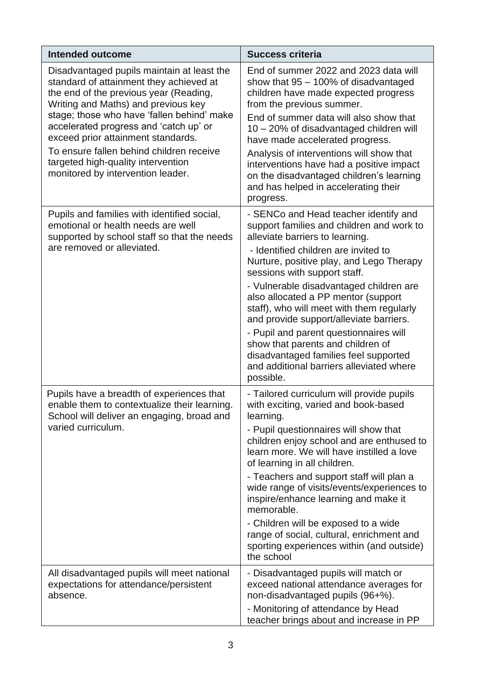| <b>Intended outcome</b>                                                                                                                                                | <b>Success criteria</b>                                                                                                                                                               |
|------------------------------------------------------------------------------------------------------------------------------------------------------------------------|---------------------------------------------------------------------------------------------------------------------------------------------------------------------------------------|
| Disadvantaged pupils maintain at least the<br>standard of attainment they achieved at<br>the end of the previous year (Reading,<br>Writing and Maths) and previous key | End of summer 2022 and 2023 data will<br>show that $95 - 100\%$ of disadvantaged<br>children have made expected progress<br>from the previous summer.                                 |
| stage; those who have 'fallen behind' make<br>accelerated progress and 'catch up' or<br>exceed prior attainment standards.                                             | End of summer data will also show that<br>10 – 20% of disadvantaged children will<br>have made accelerated progress.                                                                  |
| To ensure fallen behind children receive<br>targeted high-quality intervention<br>monitored by intervention leader.                                                    | Analysis of interventions will show that<br>interventions have had a positive impact<br>on the disadvantaged children's learning<br>and has helped in accelerating their<br>progress. |
| Pupils and families with identified social,<br>emotional or health needs are well<br>supported by school staff so that the needs                                       | - SENCo and Head teacher identify and<br>support families and children and work to<br>alleviate barriers to learning.                                                                 |
| are removed or alleviated.                                                                                                                                             | - Identified children are invited to<br>Nurture, positive play, and Lego Therapy<br>sessions with support staff.                                                                      |
|                                                                                                                                                                        | - Vulnerable disadvantaged children are<br>also allocated a PP mentor (support<br>staff), who will meet with them regularly<br>and provide support/alleviate barriers.                |
|                                                                                                                                                                        | - Pupil and parent questionnaires will<br>show that parents and children of<br>disadvantaged families feel supported<br>and additional barriers alleviated where<br>possible.         |
| Pupils have a breadth of experiences that<br>enable them to contextualize their learning.<br>School will deliver an engaging, broad and                                | - Tailored curriculum will provide pupils<br>with exciting, varied and book-based<br>learning.                                                                                        |
| varied curriculum.                                                                                                                                                     | - Pupil questionnaires will show that<br>children enjoy school and are enthused to<br>learn more. We will have instilled a love<br>of learning in all children.                       |
|                                                                                                                                                                        | - Teachers and support staff will plan a<br>wide range of visits/events/experiences to<br>inspire/enhance learning and make it<br>memorable.                                          |
|                                                                                                                                                                        | - Children will be exposed to a wide<br>range of social, cultural, enrichment and<br>sporting experiences within (and outside)<br>the school                                          |
| All disadvantaged pupils will meet national<br>expectations for attendance/persistent<br>absence.                                                                      | - Disadvantaged pupils will match or<br>exceed national attendance averages for<br>non-disadvantaged pupils (96+%).                                                                   |
|                                                                                                                                                                        | - Monitoring of attendance by Head<br>teacher brings about and increase in PP                                                                                                         |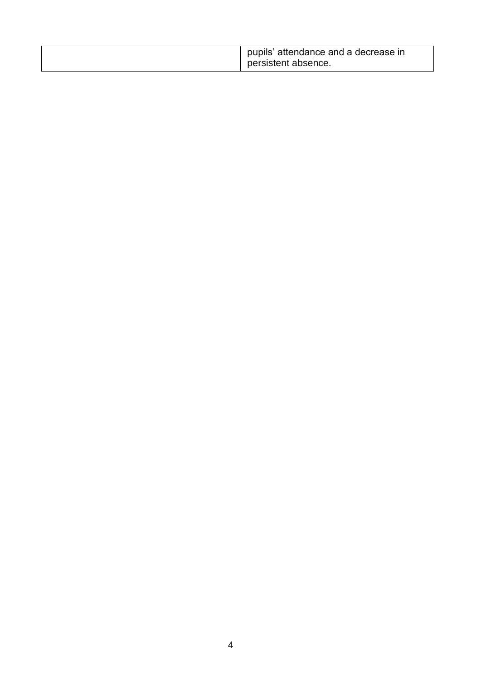| pupils' attendance and a decrease in<br>persistent absence. |
|-------------------------------------------------------------|
|                                                             |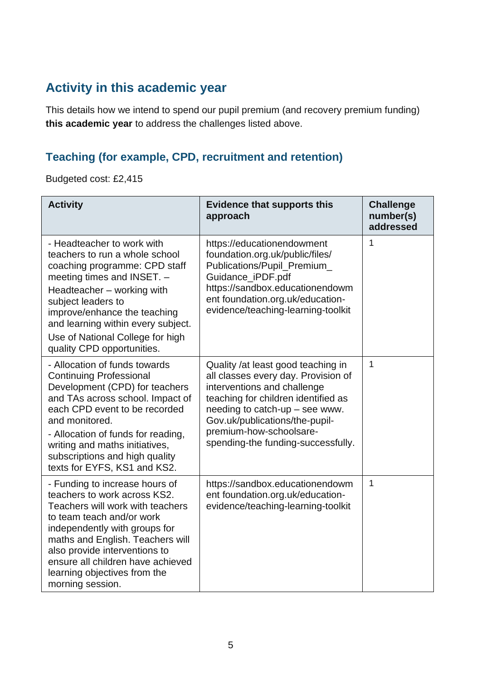# **Activity in this academic year**

This details how we intend to spend our pupil premium (and recovery premium funding) **this academic year** to address the challenges listed above.

## **Teaching (for example, CPD, recruitment and retention)**

Budgeted cost: £2,415

| <b>Activity</b>                                                                                                                                                                                                                                                                                                                    | <b>Evidence that supports this</b><br>approach                                                                                                                                                                                                                                         | <b>Challenge</b><br>number(s)<br>addressed |
|------------------------------------------------------------------------------------------------------------------------------------------------------------------------------------------------------------------------------------------------------------------------------------------------------------------------------------|----------------------------------------------------------------------------------------------------------------------------------------------------------------------------------------------------------------------------------------------------------------------------------------|--------------------------------------------|
| - Headteacher to work with<br>teachers to run a whole school<br>coaching programme: CPD staff<br>meeting times and INSET. -<br>Headteacher – working with<br>subject leaders to<br>improve/enhance the teaching<br>and learning within every subject.<br>Use of National College for high<br>quality CPD opportunities.            | https://educationendowment<br>foundation.org.uk/public/files/<br>Publications/Pupil_Premium_<br>Guidance_iPDF.pdf<br>https://sandbox.educationendowm<br>ent foundation.org.uk/education-<br>evidence/teaching-learning-toolkit                                                         | 1                                          |
| - Allocation of funds towards<br><b>Continuing Professional</b><br>Development (CPD) for teachers<br>and TAs across school. Impact of<br>each CPD event to be recorded<br>and monitored.<br>- Allocation of funds for reading,<br>writing and maths initiatives,<br>subscriptions and high quality<br>texts for EYFS, KS1 and KS2. | Quality /at least good teaching in<br>all classes every day. Provision of<br>interventions and challenge<br>teaching for children identified as<br>needing to catch-up $-$ see www.<br>Gov.uk/publications/the-pupil-<br>premium-how-schoolsare-<br>spending-the funding-successfully. | $\mathbf{1}$                               |
| - Funding to increase hours of<br>teachers to work across KS2.<br>Teachers will work with teachers<br>to team teach and/or work<br>independently with groups for<br>maths and English. Teachers will<br>also provide interventions to<br>ensure all children have achieved<br>learning objectives from the<br>morning session.     | https://sandbox.educationendowm<br>ent foundation.org.uk/education-<br>evidence/teaching-learning-toolkit                                                                                                                                                                              | 1                                          |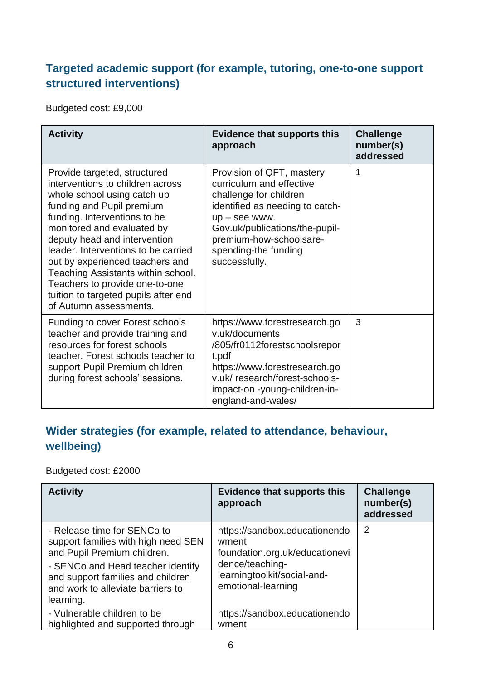#### **Targeted academic support (for example, tutoring, one-to-one support structured interventions)**

Budgeted cost: £9,000

| <b>Activity</b>                                                                                                                                                                                                                                                                                                                                                                                                                                | <b>Evidence that supports this</b><br>approach                                                                                                                                                                                              | <b>Challenge</b><br>number(s)<br>addressed |
|------------------------------------------------------------------------------------------------------------------------------------------------------------------------------------------------------------------------------------------------------------------------------------------------------------------------------------------------------------------------------------------------------------------------------------------------|---------------------------------------------------------------------------------------------------------------------------------------------------------------------------------------------------------------------------------------------|--------------------------------------------|
| Provide targeted, structured<br>interventions to children across<br>whole school using catch up<br>funding and Pupil premium<br>funding. Interventions to be<br>monitored and evaluated by<br>deputy head and intervention<br>leader, Interventions to be carried<br>out by experienced teachers and<br>Teaching Assistants within school.<br>Teachers to provide one-to-one<br>tuition to targeted pupils after end<br>of Autumn assessments. | Provision of QFT, mastery<br>curriculum and effective<br>challenge for children<br>identified as needing to catch-<br>$up$ – see www.<br>Gov.uk/publications/the-pupil-<br>premium-how-schoolsare-<br>spending-the funding<br>successfully. | 1                                          |
| <b>Funding to cover Forest schools</b><br>teacher and provide training and<br>resources for forest schools<br>teacher. Forest schools teacher to<br>support Pupil Premium children<br>during forest schools' sessions.                                                                                                                                                                                                                         | https://www.forestresearch.go<br>v.uk/documents<br>/805/fr0112forestschoolsrepor<br>t.pdf<br>https://www.forestresearch.go<br>v.uk/research/forest-schools-<br>impact-on-young-children-in-<br>england-and-wales/                           | 3                                          |

# **Wider strategies (for example, related to attendance, behaviour, wellbeing)**

Budgeted cost: £2000

| <b>Activity</b>                                                                                                                                                                                                               | <b>Evidence that supports this</b><br>approach                                                                                                   | <b>Challenge</b><br>number(s)<br>addressed |
|-------------------------------------------------------------------------------------------------------------------------------------------------------------------------------------------------------------------------------|--------------------------------------------------------------------------------------------------------------------------------------------------|--------------------------------------------|
| - Release time for SENCo to<br>support families with high need SEN<br>and Pupil Premium children.<br>- SENCo and Head teacher identify<br>and support families and children<br>and work to alleviate barriers to<br>learning. | https://sandbox.educationendo<br>wment<br>foundation.org.uk/educationevi<br>dence/teaching-<br>learningtoolkit/social-and-<br>emotional-learning | 2                                          |
| - Vulnerable children to be<br>highlighted and supported through                                                                                                                                                              | https://sandbox.educationendo<br>wment                                                                                                           |                                            |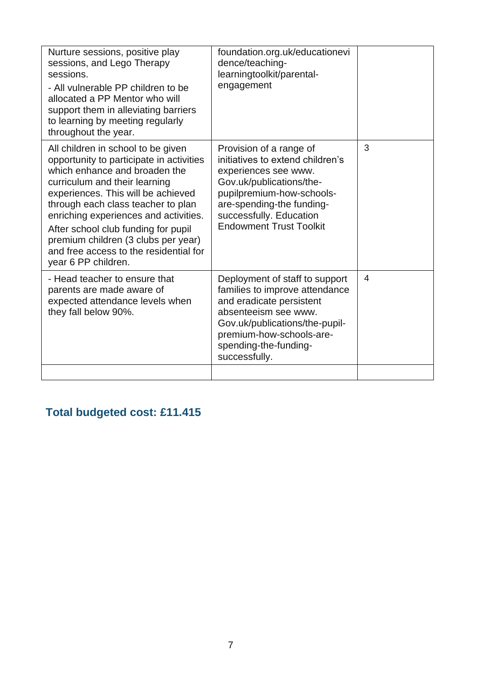| Nurture sessions, positive play<br>sessions, and Lego Therapy<br>sessions.<br>- All vulnerable PP children to be<br>allocated a PP Mentor who will<br>support them in alleviating barriers<br>to learning by meeting regularly<br>throughout the year.                                                                                                                                                               | foundation.org.uk/educationevi<br>dence/teaching-<br>learningtoolkit/parental-<br>engagement                                                                                                                                           |   |
|----------------------------------------------------------------------------------------------------------------------------------------------------------------------------------------------------------------------------------------------------------------------------------------------------------------------------------------------------------------------------------------------------------------------|----------------------------------------------------------------------------------------------------------------------------------------------------------------------------------------------------------------------------------------|---|
| All children in school to be given<br>opportunity to participate in activities<br>which enhance and broaden the<br>curriculum and their learning<br>experiences. This will be achieved<br>through each class teacher to plan<br>enriching experiences and activities.<br>After school club funding for pupil<br>premium children (3 clubs per year)<br>and free access to the residential for<br>year 6 PP children. | Provision of a range of<br>initiatives to extend children's<br>experiences see www.<br>Gov.uk/publications/the-<br>pupilpremium-how-schools-<br>are-spending-the funding-<br>successfully. Education<br><b>Endowment Trust Toolkit</b> | 3 |
| - Head teacher to ensure that<br>parents are made aware of<br>expected attendance levels when<br>they fall below 90%.                                                                                                                                                                                                                                                                                                | Deployment of staff to support<br>families to improve attendance<br>and eradicate persistent<br>absenteeism see www.<br>Gov.uk/publications/the-pupil-<br>premium-how-schools-are-<br>spending-the-funding-<br>successfully.           | 4 |
|                                                                                                                                                                                                                                                                                                                                                                                                                      |                                                                                                                                                                                                                                        |   |

# **Total budgeted cost: £11.415**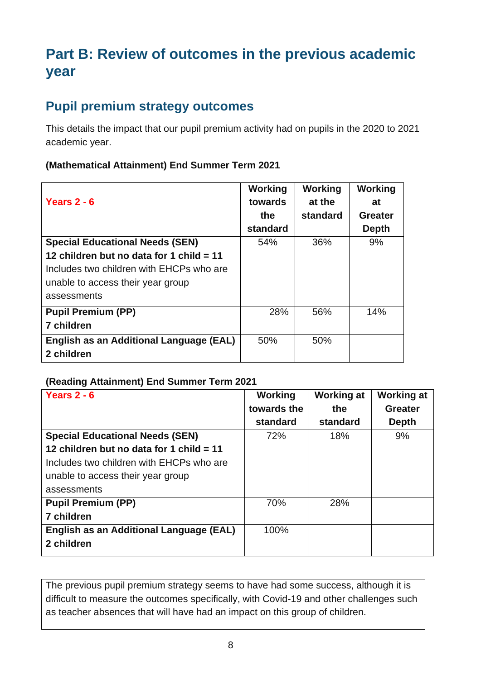# **Part B: Review of outcomes in the previous academic year**

### **Pupil premium strategy outcomes**

This details the impact that our pupil premium activity had on pupils in the 2020 to 2021 academic year.

#### **(Mathematical Attainment) End Summer Term 2021**

| Years $2 - 6$                              | Working<br>towards | Working<br>at the | Working<br>at |
|--------------------------------------------|--------------------|-------------------|---------------|
|                                            | the                | standard          | Greater       |
|                                            |                    |                   |               |
|                                            | standard           |                   | <b>Depth</b>  |
| <b>Special Educational Needs (SEN)</b>     | 54%                | 36%               | 9%            |
| 12 children but no data for 1 child $= 11$ |                    |                   |               |
| Includes two children with EHCPs who are   |                    |                   |               |
| unable to access their year group          |                    |                   |               |
| assessments                                |                    |                   |               |
| <b>Pupil Premium (PP)</b>                  | 28%                | 56%               | 14%           |
| <b>7 children</b>                          |                    |                   |               |
| English as an Additional Language (EAL)    | 50%                | 50%               |               |
| 2 children                                 |                    |                   |               |

#### **(Reading Attainment) End Summer Term 2021**

| Years $2 - 6$                            | Working<br>towards the | <b>Working at</b><br>the | <b>Working at</b><br><b>Greater</b> |
|------------------------------------------|------------------------|--------------------------|-------------------------------------|
|                                          | standard               | standard                 | <b>Depth</b>                        |
| <b>Special Educational Needs (SEN)</b>   | 72%                    | 18%                      | 9%                                  |
| 12 children but no data for 1 child = 11 |                        |                          |                                     |
| Includes two children with EHCPs who are |                        |                          |                                     |
| unable to access their year group        |                        |                          |                                     |
| assessments                              |                        |                          |                                     |
| <b>Pupil Premium (PP)</b>                | 70%                    | 28%                      |                                     |
| 7 children                               |                        |                          |                                     |
| English as an Additional Language (EAL)  | 100%                   |                          |                                     |
| 2 children                               |                        |                          |                                     |

The previous pupil premium strategy seems to have had some success, although it is difficult to measure the outcomes specifically, with Covid-19 and other challenges such as teacher absences that will have had an impact on this group of children.